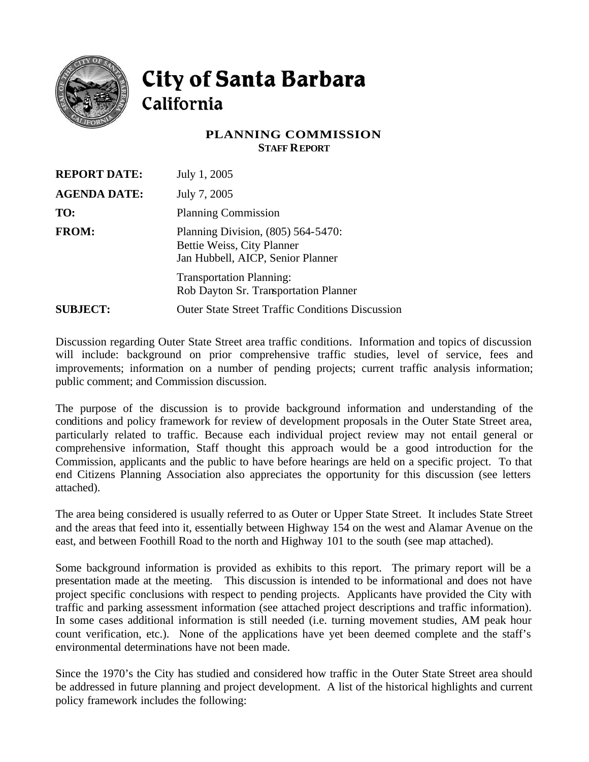

## City of Santa Barbara California

## **PLANNING COMMISSION STAFF REPORT**

| <b>REPORT DATE:</b> | July 1, 2005                                                                                          |
|---------------------|-------------------------------------------------------------------------------------------------------|
| <b>AGENDA DATE:</b> | July 7, 2005                                                                                          |
| TO:                 | <b>Planning Commission</b>                                                                            |
| <b>FROM:</b>        | Planning Division, (805) 564-5470:<br>Bettie Weiss, City Planner<br>Jan Hubbell, AICP, Senior Planner |
|                     | <b>Transportation Planning:</b><br>Rob Dayton Sr. Transportation Planner                              |
| <b>SUBJECT:</b>     | <b>Outer State Street Traffic Conditions Discussion</b>                                               |

Discussion regarding Outer State Street area traffic conditions. Information and topics of discussion will include: background on prior comprehensive traffic studies, level of service, fees and improvements; information on a number of pending projects; current traffic analysis information; public comment; and Commission discussion.

The purpose of the discussion is to provide background information and understanding of the conditions and policy framework for review of development proposals in the Outer State Street area, particularly related to traffic. Because each individual project review may not entail general or comprehensive information, Staff thought this approach would be a good introduction for the Commission, applicants and the public to have before hearings are held on a specific project. To that end Citizens Planning Association also appreciates the opportunity for this discussion (see letters attached).

The area being considered is usually referred to as Outer or Upper State Street. It includes State Street and the areas that feed into it, essentially between Highway 154 on the west and Alamar Avenue on the east, and between Foothill Road to the north and Highway 101 to the south (see map attached).

Some background information is provided as exhibits to this report. The primary report will be a presentation made at the meeting. This discussion is intended to be informational and does not have project specific conclusions with respect to pending projects. Applicants have provided the City with traffic and parking assessment information (see attached project descriptions and traffic information). In some cases additional information is still needed (i.e. turning movement studies, AM peak hour count verification, etc.). None of the applications have yet been deemed complete and the staff's environmental determinations have not been made.

Since the 1970's the City has studied and considered how traffic in the Outer State Street area should be addressed in future planning and project development. A list of the historical highlights and current policy framework includes the following: